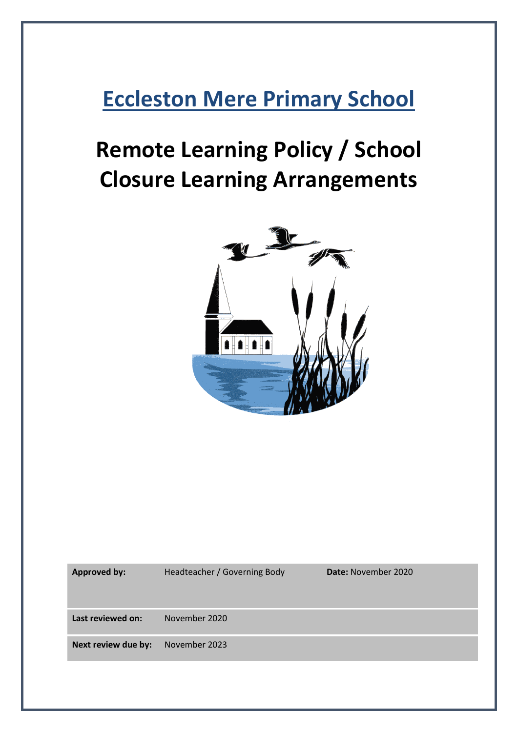## **Eccleston Mere Primary School**

# **Remote Learning Policy / School Closure Learning Arrangements**



**Approved by:** Headteacher / Governing Body **Date:** November 2020 **Last reviewed on:** November 2020 **Next review due by:** November 2023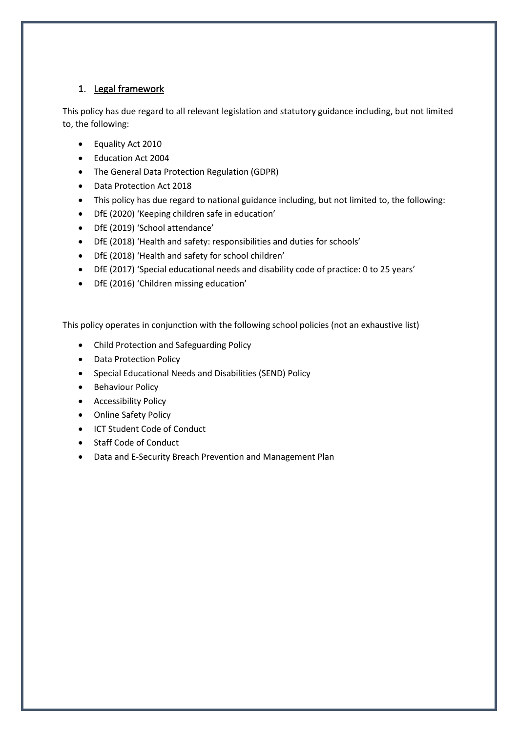## 1. Legal framework

This policy has due regard to all relevant legislation and statutory guidance including, but not limited to, the following:

- Equality Act 2010
- Education Act 2004
- The General Data Protection Regulation (GDPR)
- Data Protection Act 2018
- This policy has due regard to national guidance including, but not limited to, the following:
- DfE (2020) 'Keeping children safe in education'
- DfE (2019) 'School attendance'
- DfE (2018) 'Health and safety: responsibilities and duties for schools'
- DfE (2018) 'Health and safety for school children'
- DfE (2017) 'Special educational needs and disability code of practice: 0 to 25 years'
- DfE (2016) 'Children missing education'

This policy operates in conjunction with the following school policies (not an exhaustive list)

- Child Protection and Safeguarding Policy
- Data Protection Policy
- Special Educational Needs and Disabilities (SEND) Policy
- Behaviour Policy
- Accessibility Policy
- Online Safety Policy
- ICT Student Code of Conduct
- Staff Code of Conduct
- Data and E-Security Breach Prevention and Management Plan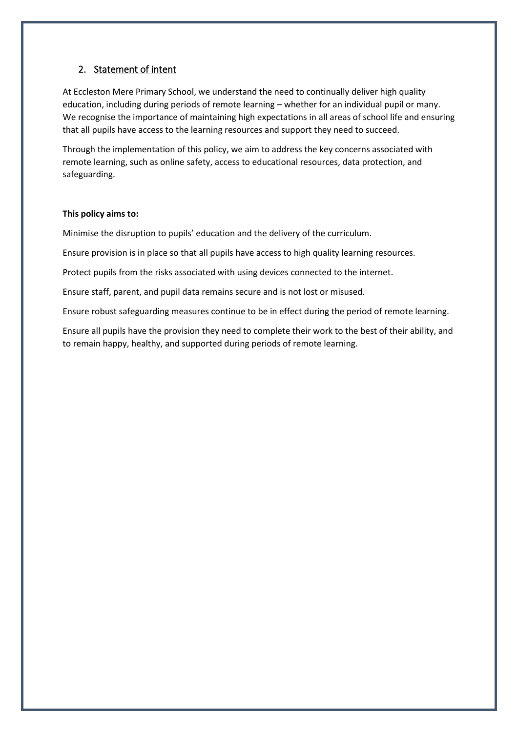## 2. Statement of intent

At Eccleston Mere Primary School, we understand the need to continually deliver high quality education, including during periods of remote learning – whether for an individual pupil or many. We recognise the importance of maintaining high expectations in all areas of school life and ensuring that all pupils have access to the learning resources and support they need to succeed.

Through the implementation of this policy, we aim to address the key concerns associated with remote learning, such as online safety, access to educational resources, data protection, and safeguarding.

#### **This policy aims to:**

Minimise the disruption to pupils' education and the delivery of the curriculum.

Ensure provision is in place so that all pupils have access to high quality learning resources.

Protect pupils from the risks associated with using devices connected to the internet.

Ensure staff, parent, and pupil data remains secure and is not lost or misused.

Ensure robust safeguarding measures continue to be in effect during the period of remote learning.

Ensure all pupils have the provision they need to complete their work to the best of their ability, and to remain happy, healthy, and supported during periods of remote learning.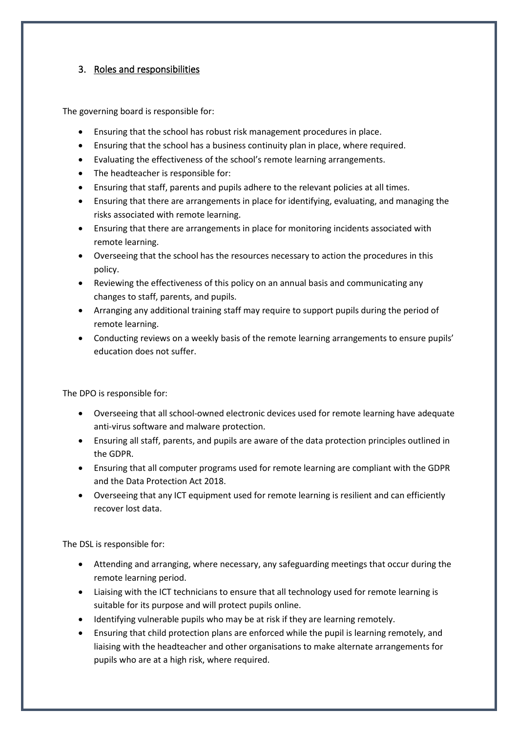## 3. Roles and responsibilities

The governing board is responsible for:

- Ensuring that the school has robust risk management procedures in place.
- Ensuring that the school has a business continuity plan in place, where required.
- Evaluating the effectiveness of the school's remote learning arrangements.
- The headteacher is responsible for:
- Ensuring that staff, parents and pupils adhere to the relevant policies at all times.
- Ensuring that there are arrangements in place for identifying, evaluating, and managing the risks associated with remote learning.
- Ensuring that there are arrangements in place for monitoring incidents associated with remote learning.
- Overseeing that the school has the resources necessary to action the procedures in this policy.
- Reviewing the effectiveness of this policy on an annual basis and communicating any changes to staff, parents, and pupils.
- Arranging any additional training staff may require to support pupils during the period of remote learning.
- Conducting reviews on a weekly basis of the remote learning arrangements to ensure pupils' education does not suffer.

The DPO is responsible for:

- Overseeing that all school-owned electronic devices used for remote learning have adequate anti-virus software and malware protection.
- Ensuring all staff, parents, and pupils are aware of the data protection principles outlined in the GDPR.
- Ensuring that all computer programs used for remote learning are compliant with the GDPR and the Data Protection Act 2018.
- Overseeing that any ICT equipment used for remote learning is resilient and can efficiently recover lost data.

The DSL is responsible for:

- Attending and arranging, where necessary, any safeguarding meetings that occur during the remote learning period.
- Liaising with the ICT technicians to ensure that all technology used for remote learning is suitable for its purpose and will protect pupils online.
- Identifying vulnerable pupils who may be at risk if they are learning remotely.
- Ensuring that child protection plans are enforced while the pupil is learning remotely, and liaising with the headteacher and other organisations to make alternate arrangements for pupils who are at a high risk, where required.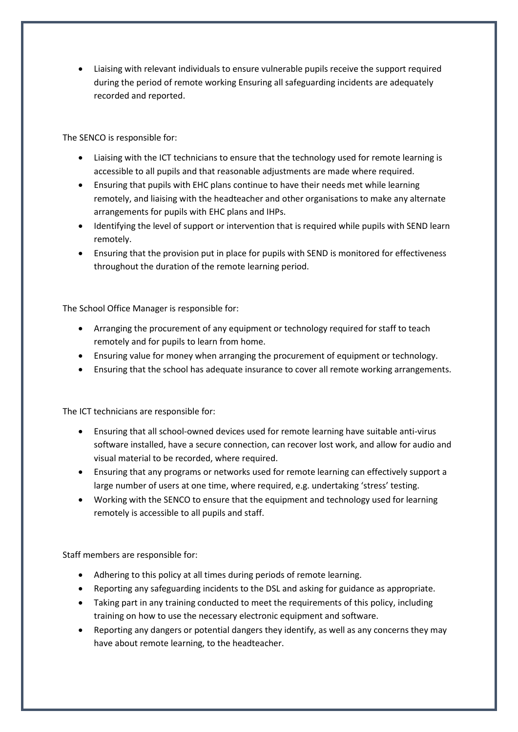• Liaising with relevant individuals to ensure vulnerable pupils receive the support required during the period of remote working Ensuring all safeguarding incidents are adequately recorded and reported.

The SENCO is responsible for:

- Liaising with the ICT technicians to ensure that the technology used for remote learning is accessible to all pupils and that reasonable adjustments are made where required.
- Ensuring that pupils with EHC plans continue to have their needs met while learning remotely, and liaising with the headteacher and other organisations to make any alternate arrangements for pupils with EHC plans and IHPs.
- Identifying the level of support or intervention that is required while pupils with SEND learn remotely.
- Ensuring that the provision put in place for pupils with SEND is monitored for effectiveness throughout the duration of the remote learning period.

The School Office Manager is responsible for:

- Arranging the procurement of any equipment or technology required for staff to teach remotely and for pupils to learn from home.
- Ensuring value for money when arranging the procurement of equipment or technology.
- Ensuring that the school has adequate insurance to cover all remote working arrangements.

The ICT technicians are responsible for:

- Ensuring that all school-owned devices used for remote learning have suitable anti-virus software installed, have a secure connection, can recover lost work, and allow for audio and visual material to be recorded, where required.
- Ensuring that any programs or networks used for remote learning can effectively support a large number of users at one time, where required, e.g. undertaking 'stress' testing.
- Working with the SENCO to ensure that the equipment and technology used for learning remotely is accessible to all pupils and staff.

Staff members are responsible for:

- Adhering to this policy at all times during periods of remote learning.
- Reporting any safeguarding incidents to the DSL and asking for guidance as appropriate.
- Taking part in any training conducted to meet the requirements of this policy, including training on how to use the necessary electronic equipment and software.
- Reporting any dangers or potential dangers they identify, as well as any concerns they may have about remote learning, to the headteacher.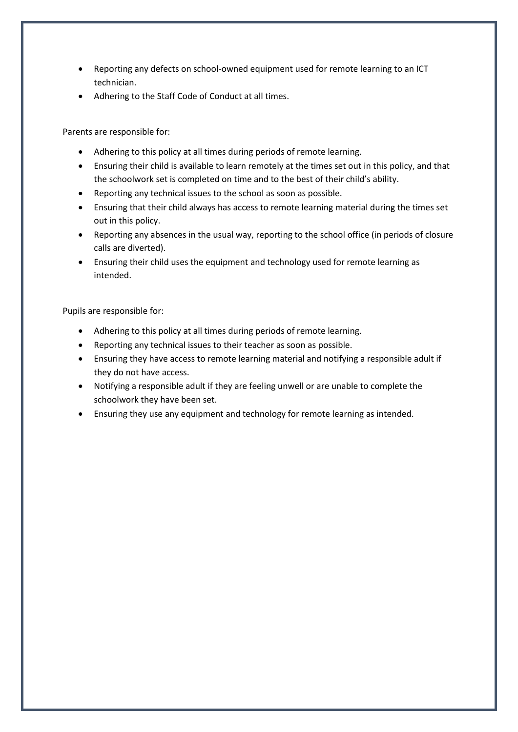- Reporting any defects on school-owned equipment used for remote learning to an ICT technician.
- Adhering to the Staff Code of Conduct at all times.

Parents are responsible for:

- Adhering to this policy at all times during periods of remote learning.
- Ensuring their child is available to learn remotely at the times set out in this policy, and that the schoolwork set is completed on time and to the best of their child's ability.
- Reporting any technical issues to the school as soon as possible.
- Ensuring that their child always has access to remote learning material during the times set out in this policy.
- Reporting any absences in the usual way, reporting to the school office (in periods of closure calls are diverted).
- Ensuring their child uses the equipment and technology used for remote learning as intended.

Pupils are responsible for:

- Adhering to this policy at all times during periods of remote learning.
- Reporting any technical issues to their teacher as soon as possible.
- Ensuring they have access to remote learning material and notifying a responsible adult if they do not have access.
- Notifying a responsible adult if they are feeling unwell or are unable to complete the schoolwork they have been set.
- Ensuring they use any equipment and technology for remote learning as intended.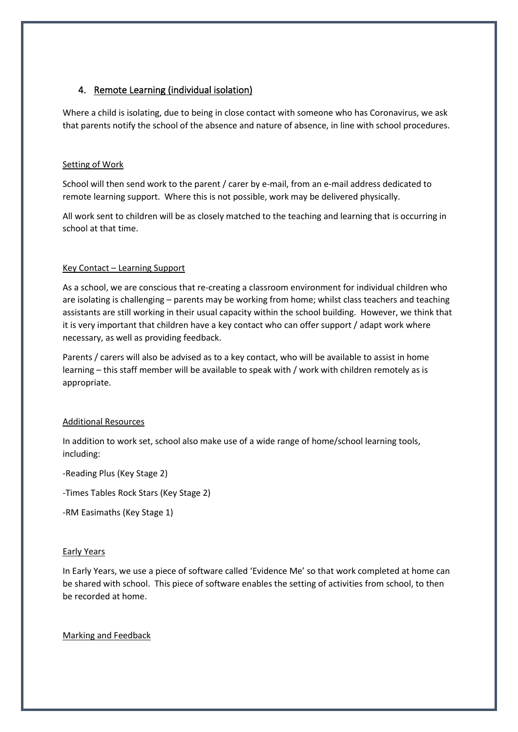## 4. Remote Learning (individual isolation)

Where a child is isolating, due to being in close contact with someone who has Coronavirus, we ask that parents notify the school of the absence and nature of absence, in line with school procedures.

#### Setting of Work

School will then send work to the parent / carer by e-mail, from an e-mail address dedicated to remote learning support. Where this is not possible, work may be delivered physically.

All work sent to children will be as closely matched to the teaching and learning that is occurring in school at that time.

#### Key Contact – Learning Support

As a school, we are conscious that re-creating a classroom environment for individual children who are isolating is challenging – parents may be working from home; whilst class teachers and teaching assistants are still working in their usual capacity within the school building. However, we think that it is very important that children have a key contact who can offer support / adapt work where necessary, as well as providing feedback.

Parents / carers will also be advised as to a key contact, who will be available to assist in home learning – this staff member will be available to speak with / work with children remotely as is appropriate.

#### Additional Resources

In addition to work set, school also make use of a wide range of home/school learning tools, including:

#### -Reading Plus (Key Stage 2)

-Times Tables Rock Stars (Key Stage 2)

-RM Easimaths (Key Stage 1)

#### Early Years

In Early Years, we use a piece of software called 'Evidence Me' so that work completed at home can be shared with school. This piece of software enables the setting of activities from school, to then be recorded at home.

#### Marking and Feedback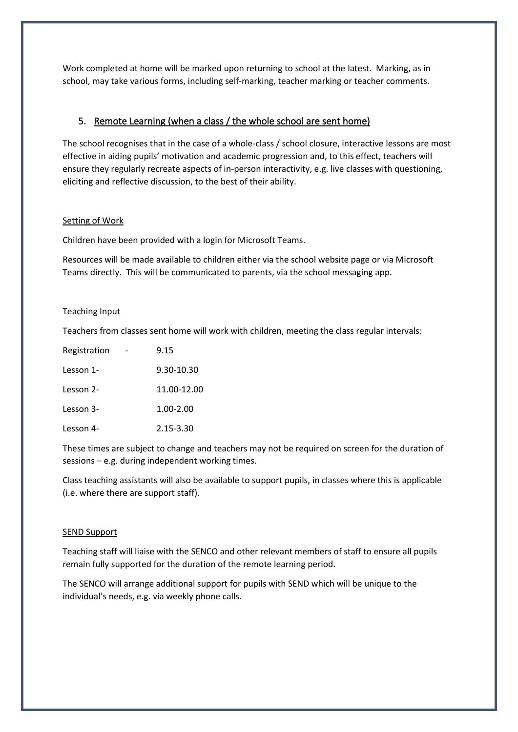Work completed at home will be marked upon returning to school at the latest. Marking, as in school, may take various forms, including self-marking, teacher marking or teacher comments.

## 5. Remote Learning (when a class / the whole school are sent home)

The school recognises that in the case of a whole-class / school closure, interactive lessons are most effective in aiding pupils' motivation and academic progression and, to this effect, teachers will ensure they regularly recreate aspects of in-person interactivity, e.g. live classes with questioning, eliciting and reflective discussion, to the best of their ability.

#### Setting of Work

Children have been provided with a login for Microsoft Teams.

Resources will be made available to children either via the school website page or via Microsoft Teams directly. This will be communicated to parents, via the school messaging app.

#### Teaching Input

Teachers from classes sent home will work with children, meeting the class regular intervals:

| Registration | 9.15        |
|--------------|-------------|
| Lesson 1-    | 9.30-10.30  |
| Lesson 2-    | 11.00-12.00 |
| Lesson 3-    | 1.00-2.00   |
| Lesson 4-    | 2.15-3.30   |

These times are subject to change and teachers may not be required on screen for the duration of sessions – e.g. during independent working times.

Class teaching assistants will also be available to support pupils, in classes where this is applicable (i.e. where there are support staff).

#### SEND Support

Teaching staff will liaise with the SENCO and other relevant members of staff to ensure all pupils remain fully supported for the duration of the remote learning period.

The SENCO will arrange additional support for pupils with SEND which will be unique to the individual's needs, e.g. via weekly phone calls.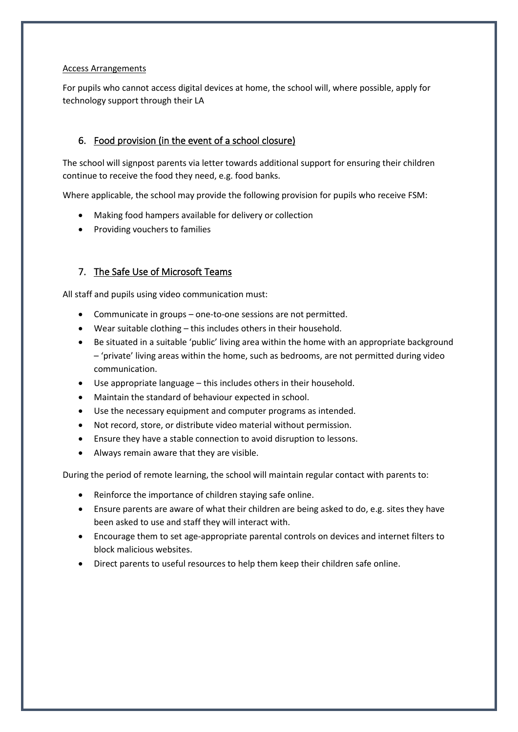#### Access Arrangements

For pupils who cannot access digital devices at home, the school will, where possible, apply for technology support through their LA

## 6. Food provision (in the event of a school closure)

The school will signpost parents via letter towards additional support for ensuring their children continue to receive the food they need, e.g. food banks.

Where applicable, the school may provide the following provision for pupils who receive FSM:

- Making food hampers available for delivery or collection
- Providing vouchers to families

## 7. The Safe Use of Microsoft Teams

All staff and pupils using video communication must:

- Communicate in groups one-to-one sessions are not permitted.
- Wear suitable clothing this includes others in their household.
- Be situated in a suitable 'public' living area within the home with an appropriate background – 'private' living areas within the home, such as bedrooms, are not permitted during video communication.
- Use appropriate language this includes others in their household.
- Maintain the standard of behaviour expected in school.
- Use the necessary equipment and computer programs as intended.
- Not record, store, or distribute video material without permission.
- Ensure they have a stable connection to avoid disruption to lessons.
- Always remain aware that they are visible.

During the period of remote learning, the school will maintain regular contact with parents to:

- Reinforce the importance of children staying safe online.
- Ensure parents are aware of what their children are being asked to do, e.g. sites they have been asked to use and staff they will interact with.
- Encourage them to set age-appropriate parental controls on devices and internet filters to block malicious websites.
- Direct parents to useful resources to help them keep their children safe online.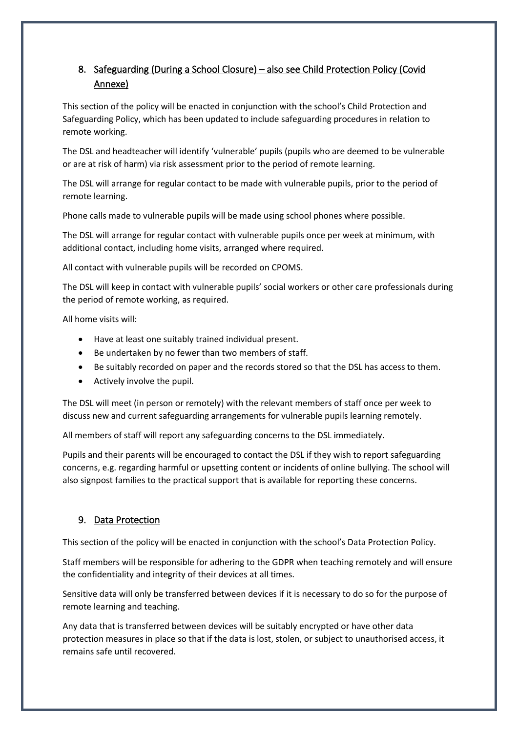## 8. Safeguarding (During a School Closure) – also see Child Protection Policy (Covid Annexe)

This section of the policy will be enacted in conjunction with the school's Child Protection and Safeguarding Policy, which has been updated to include safeguarding procedures in relation to remote working.

The DSL and headteacher will identify 'vulnerable' pupils (pupils who are deemed to be vulnerable or are at risk of harm) via risk assessment prior to the period of remote learning.

The DSL will arrange for regular contact to be made with vulnerable pupils, prior to the period of remote learning.

Phone calls made to vulnerable pupils will be made using school phones where possible.

The DSL will arrange for regular contact with vulnerable pupils once per week at minimum, with additional contact, including home visits, arranged where required.

All contact with vulnerable pupils will be recorded on CPOMS.

The DSL will keep in contact with vulnerable pupils' social workers or other care professionals during the period of remote working, as required.

All home visits will:

- Have at least one suitably trained individual present.
- Be undertaken by no fewer than two members of staff.
- Be suitably recorded on paper and the records stored so that the DSL has access to them.
- Actively involve the pupil.

The DSL will meet (in person or remotely) with the relevant members of staff once per week to discuss new and current safeguarding arrangements for vulnerable pupils learning remotely.

All members of staff will report any safeguarding concerns to the DSL immediately.

Pupils and their parents will be encouraged to contact the DSL if they wish to report safeguarding concerns, e.g. regarding harmful or upsetting content or incidents of online bullying. The school will also signpost families to the practical support that is available for reporting these concerns.

#### 9. Data Protection

This section of the policy will be enacted in conjunction with the school's Data Protection Policy.

Staff members will be responsible for adhering to the GDPR when teaching remotely and will ensure the confidentiality and integrity of their devices at all times.

Sensitive data will only be transferred between devices if it is necessary to do so for the purpose of remote learning and teaching.

Any data that is transferred between devices will be suitably encrypted or have other data protection measures in place so that if the data is lost, stolen, or subject to unauthorised access, it remains safe until recovered.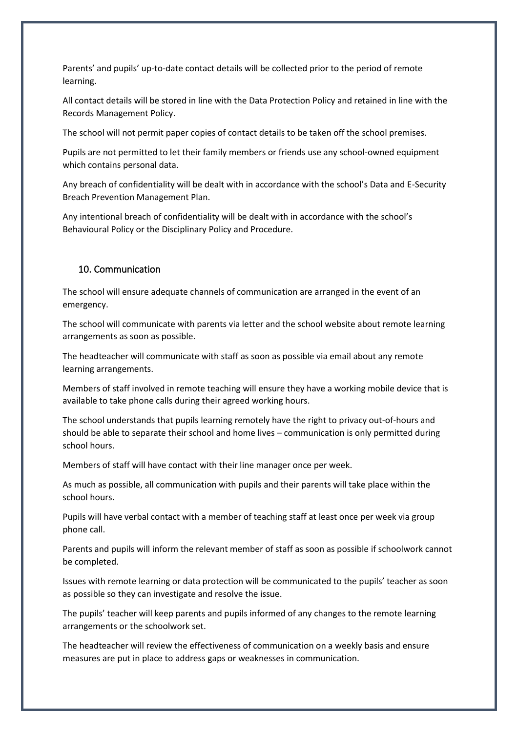Parents' and pupils' up-to-date contact details will be collected prior to the period of remote learning.

All contact details will be stored in line with the Data Protection Policy and retained in line with the Records Management Policy.

The school will not permit paper copies of contact details to be taken off the school premises.

Pupils are not permitted to let their family members or friends use any school-owned equipment which contains personal data.

Any breach of confidentiality will be dealt with in accordance with the school's Data and E-Security Breach Prevention Management Plan.

Any intentional breach of confidentiality will be dealt with in accordance with the school's Behavioural Policy or the Disciplinary Policy and Procedure.

#### 10. Communication

The school will ensure adequate channels of communication are arranged in the event of an emergency.

The school will communicate with parents via letter and the school website about remote learning arrangements as soon as possible.

The headteacher will communicate with staff as soon as possible via email about any remote learning arrangements.

Members of staff involved in remote teaching will ensure they have a working mobile device that is available to take phone calls during their agreed working hours.

The school understands that pupils learning remotely have the right to privacy out-of-hours and should be able to separate their school and home lives – communication is only permitted during school hours.

Members of staff will have contact with their line manager once per week.

As much as possible, all communication with pupils and their parents will take place within the school hours.

Pupils will have verbal contact with a member of teaching staff at least once per week via group phone call.

Parents and pupils will inform the relevant member of staff as soon as possible if schoolwork cannot be completed.

Issues with remote learning or data protection will be communicated to the pupils' teacher as soon as possible so they can investigate and resolve the issue.

The pupils' teacher will keep parents and pupils informed of any changes to the remote learning arrangements or the schoolwork set.

The headteacher will review the effectiveness of communication on a weekly basis and ensure measures are put in place to address gaps or weaknesses in communication.